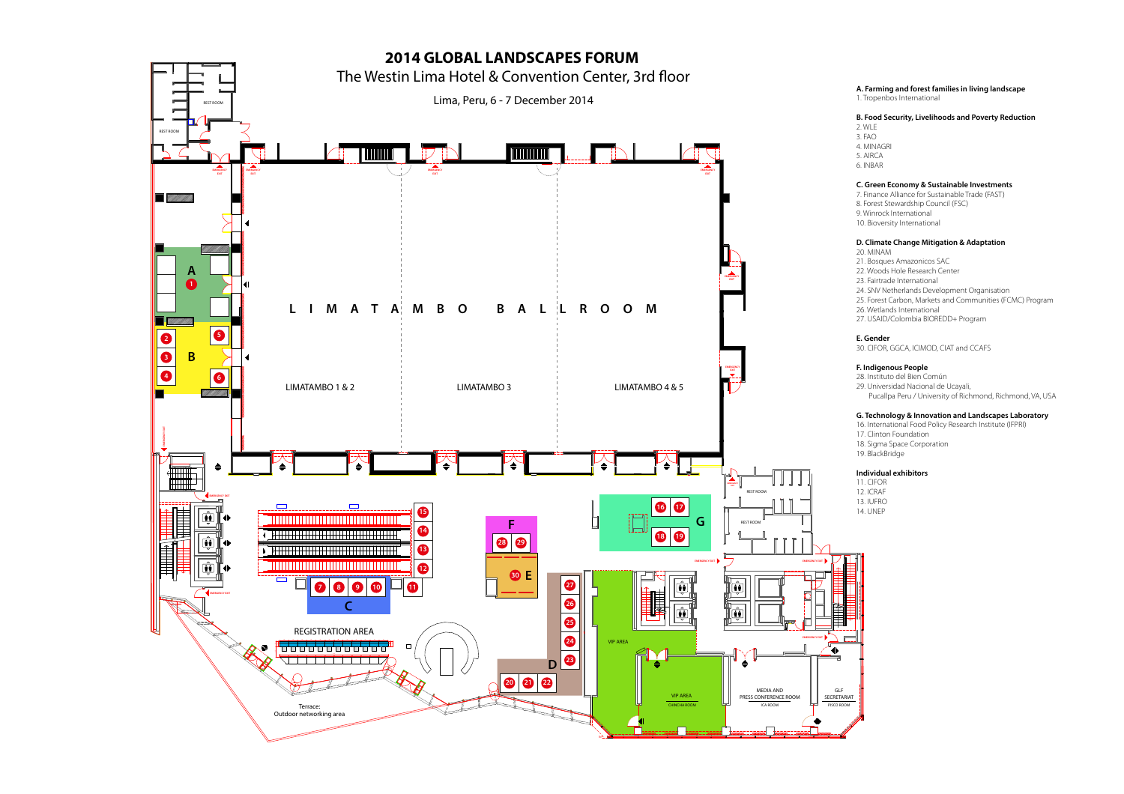

**A. Farming and forest families in living landscape** 1. Tropenbos International

## **B. Food Security, Livelihoods and Poverty Reduction**

2. WLE  $3 FAO$ 4. MINAGRI 5. AIRCA 6. INBAR

# **C. Green Economy & Sustainable Investments**

7. Finance Alliance for Sustainable Trade (FAST) 8. Forest Stewardship Council (FSC) 9. Winrock International 10. Bioversity International

### **D. Climate Change Mitigation & Adaptation**

20. MINAM 21. Bosques Amazonicos SAC 22. Woods Hole Research Center 23. Fairtrade International 24. SNV Netherlands Development Organisation 25. Forest Carbon, Markets and Communities (FCMC) Program 26. Wetlands International 27. USAID/Colombia BIOREDD+ Program

**E. Gender**

30. CIFOR, GGCA, ICIMOD, CIAT and CCAFS

# **F. Indigenous People**

28. Instituto del Bien Común 29. Universidad Nacional de Ucayali, Pucallpa Peru / University of Richmond, Richmond, VA, USA

### **G. Technology & Innovation and Landscapes Laboratory**

16. International Food Policy Research Institute (IFPRI) 17. Clinton Foundation 18. Sigma Space Corporation 19. BlackBridge

## **Individual exhibitors**

11. CIFOR 12. ICRAF 13. IUFRO 14. UNEP